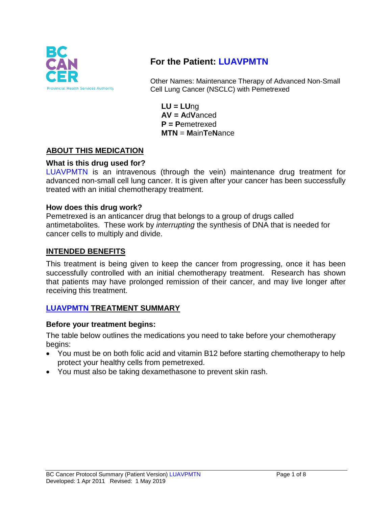

# **For the Patient: LUAVPMTN**

Other Names: Maintenance Therapy of Advanced Non-Small Cell Lung Cancer (NSCLC) with Pemetrexed

**LU = LU**ng **AV = A**d**V**anced **P = P**emetrexed **MTN** = **M**ain**T**e**N**ance

# **ABOUT THIS MEDICATION**

### **What is this drug used for?**

LUAVPMTN is an intravenous (through the vein) maintenance drug treatment for advanced non-small cell lung cancer. It is given after your cancer has been successfully treated with an initial chemotherapy treatment.

#### **How does this drug work?**

Pemetrexed is an anticancer drug that belongs to a group of drugs called antimetabolites. These work by *interrupting* the synthesis of DNA that is needed for cancer cells to multiply and divide.

#### **INTENDED BENEFITS**

This treatment is being given to keep the cancer from progressing, once it has been successfully controlled with an initial chemotherapy treatment. Research has shown that patients may have prolonged remission of their cancer, and may live longer after receiving this treatment.

#### **LUAVPMTN TREATMENT SUMMARY**

#### **Before your treatment begins:**

The table below outlines the medications you need to take before your chemotherapy begins:

- You must be on both folic acid and vitamin B12 before starting chemotherapy to help protect your healthy cells from pemetrexed.
- You must also be taking dexamethasone to prevent skin rash.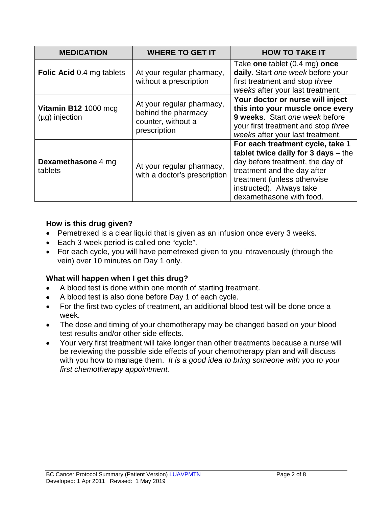| <b>MEDICATION</b>                           | <b>WHERE TO GET IT</b>                                                                 | <b>HOW TO TAKE IT</b>                                                                                                                                                                                                                 |
|---------------------------------------------|----------------------------------------------------------------------------------------|---------------------------------------------------------------------------------------------------------------------------------------------------------------------------------------------------------------------------------------|
| <b>Folic Acid</b> 0.4 mg tablets            | At your regular pharmacy,<br>without a prescription                                    | Take one tablet $(0.4 \text{ mg})$ once<br>daily. Start one week before your<br>first treatment and stop three<br>weeks after your last treatment.                                                                                    |
| Vitamin B12 1000 mcg<br>$(\mu g)$ injection | At your regular pharmacy,<br>behind the pharmacy<br>counter, without a<br>prescription | Your doctor or nurse will inject<br>this into your muscle once every<br>9 weeks. Start one week before<br>your first treatment and stop three<br>weeks after your last treatment.                                                     |
| <b>Dexamethasone 4 mg</b><br>tablets        | At your regular pharmacy,<br>with a doctor's prescription                              | For each treatment cycle, take 1<br>tablet twice daily for $3$ days $-$ the<br>day before treatment, the day of<br>treatment and the day after<br>treatment (unless otherwise<br>instructed). Always take<br>dexamethasone with food. |

#### **How is this drug given?**

- Pemetrexed is a clear liquid that is given as an infusion once every 3 weeks.
- Each 3-week period is called one "cycle".
- For each cycle, you will have pemetrexed given to you intravenously (through the vein) over 10 minutes on Day 1 only.

### **What will happen when I get this drug?**

- A blood test is done within one month of starting treatment.
- A blood test is also done before Day 1 of each cycle.
- For the first two cycles of treatment, an additional blood test will be done once a week.
- The dose and timing of your chemotherapy may be changed based on your blood test results and/or other side effects.
- Your very first treatment will take longer than other treatments because a nurse will be reviewing the possible side effects of your chemotherapy plan and will discuss with you how to manage them. *It is a good idea to bring someone with you to your first chemotherapy appointment.*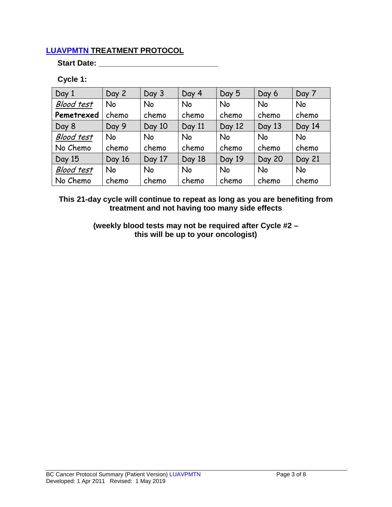### **LUAVPMTN TREATMENT PROTOCOL**

#### **Start Date: \_\_\_\_\_\_\_\_\_\_\_\_\_\_\_\_\_\_\_\_\_\_\_\_\_\_\_\_**

### **Cycle 1:**

| Day 1             | Day 2     | Day 3     | Day 4  | Day 5     | Day 6         | Day 7     |
|-------------------|-----------|-----------|--------|-----------|---------------|-----------|
| <b>Blood test</b> | <b>No</b> | <b>No</b> | No     | <b>No</b> | <b>No</b>     | <b>No</b> |
| Pemetrexed        | chemo     | chemo     | chemo  | chemo     | chemo         | chemo     |
| Day 8             | Day 9     | Day 10    | Day 11 | Day 12    | Day 13        | Day 14    |
| <b>Blood test</b> | <b>No</b> | <b>No</b> | No     | <b>No</b> | <b>No</b>     | <b>No</b> |
| No Chemo          | chemo     | chemo     | chemo  | chemo     | chemo         | chemo     |
| Day 15            | Day 16    | Day 17    | Day 18 | Day 19    | <b>Day 20</b> | Day 21    |
| <b>Blood test</b> | <b>No</b> | <b>No</b> | No     | <b>No</b> | <b>No</b>     | <b>No</b> |
| No Chemo          | chemo     | chemo     | chemo  | chemo     | chemo         | chemo     |

**This 21-day cycle will continue to repeat as long as you are benefiting from treatment and not having too many side effects**

> **(weekly blood tests may not be required after Cycle #2 – this will be up to your oncologist)**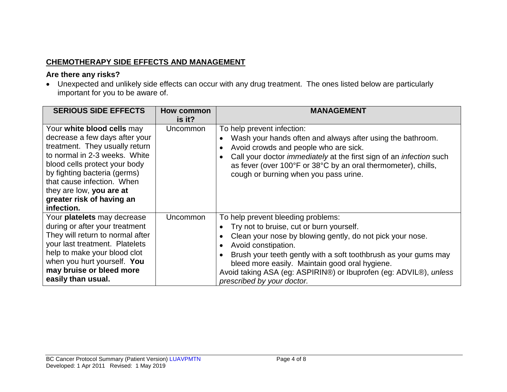# **CHEMOTHERAPY SIDE EFFECTS AND MANAGEMENT**

#### **Are there any risks?**

• Unexpected and unlikely side effects can occur with any drug treatment. The ones listed below are particularly important for you to be aware of.

| <b>SERIOUS SIDE EFFECTS</b>                                                                                                                                                                                                                                                                           | <b>How common</b><br>is it? | <b>MANAGEMENT</b>                                                                                                                                                                                                                                                                                                                                                                          |
|-------------------------------------------------------------------------------------------------------------------------------------------------------------------------------------------------------------------------------------------------------------------------------------------------------|-----------------------------|--------------------------------------------------------------------------------------------------------------------------------------------------------------------------------------------------------------------------------------------------------------------------------------------------------------------------------------------------------------------------------------------|
| Your white blood cells may<br>decrease a few days after your<br>treatment. They usually return<br>to normal in 2-3 weeks. White<br>blood cells protect your body<br>by fighting bacteria (germs)<br>that cause infection. When<br>they are low, you are at<br>greater risk of having an<br>infection. | <b>Uncommon</b>             | To help prevent infection:<br>Wash your hands often and always after using the bathroom.<br>Avoid crowds and people who are sick.<br>Call your doctor <i>immediately</i> at the first sign of an <i>infection</i> such<br>as fever (over 100°F or 38°C by an oral thermometer), chills,<br>cough or burning when you pass urine.                                                           |
| Your platelets may decrease<br>during or after your treatment<br>They will return to normal after<br>your last treatment. Platelets<br>help to make your blood clot<br>when you hurt yourself. You<br>may bruise or bleed more<br>easily than usual.                                                  | Uncommon                    | To help prevent bleeding problems:<br>Try not to bruise, cut or burn yourself.<br>Clean your nose by blowing gently, do not pick your nose.<br>Avoid constipation.<br>Brush your teeth gently with a soft toothbrush as your gums may<br>bleed more easily. Maintain good oral hygiene.<br>Avoid taking ASA (eg: ASPIRIN®) or Ibuprofen (eg: ADVIL®), unless<br>prescribed by your doctor. |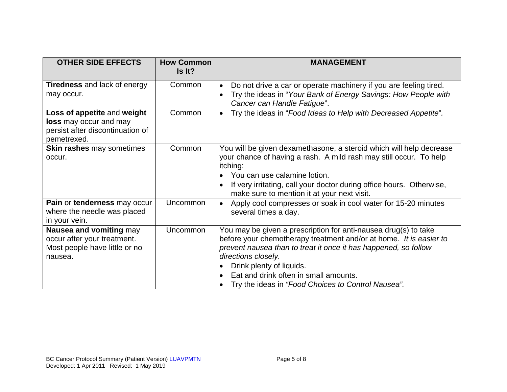| <b>OTHER SIDE EFFECTS</b>                                                                                | <b>How Common</b><br>Is It? | <b>MANAGEMENT</b>                                                                                                                                                                                                                                                                                                                                                       |
|----------------------------------------------------------------------------------------------------------|-----------------------------|-------------------------------------------------------------------------------------------------------------------------------------------------------------------------------------------------------------------------------------------------------------------------------------------------------------------------------------------------------------------------|
| <b>Tiredness</b> and lack of energy<br>may occur.                                                        | Common                      | Do not drive a car or operate machinery if you are feeling tired.<br>$\bullet$<br>Try the ideas in "Your Bank of Energy Savings: How People with<br>$\bullet$<br>Cancer can Handle Fatigue".                                                                                                                                                                            |
| Loss of appetite and weight<br>loss may occur and may<br>persist after discontinuation of<br>pemetrexed. | Common                      | Try the ideas in "Food Ideas to Help with Decreased Appetite".<br>$\bullet$                                                                                                                                                                                                                                                                                             |
| <b>Skin rashes may sometimes</b><br>occur.                                                               | Common                      | You will be given dexamethasone, a steroid which will help decrease<br>your chance of having a rash. A mild rash may still occur. To help<br>itching:<br>You can use calamine lotion.<br>If very irritating, call your doctor during office hours. Otherwise,<br>make sure to mention it at your next visit.                                                            |
| Pain or tenderness may occur<br>where the needle was placed<br>in your vein.                             | Uncommon                    | Apply cool compresses or soak in cool water for 15-20 minutes<br>$\bullet$<br>several times a day.                                                                                                                                                                                                                                                                      |
| Nausea and vomiting may<br>occur after your treatment.<br>Most people have little or no<br>nausea.       | Uncommon                    | You may be given a prescription for anti-nausea drug(s) to take<br>before your chemotherapy treatment and/or at home. It is easier to<br>prevent nausea than to treat it once it has happened, so follow<br>directions closely.<br>Drink plenty of liquids.<br>$\bullet$<br>Eat and drink often in small amounts.<br>Try the ideas in "Food Choices to Control Nausea". |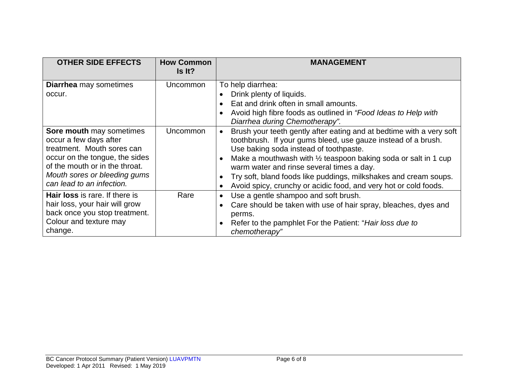| <b>OTHER SIDE EFFECTS</b>                                                                                                                                                                                         | <b>How Common</b><br>Is It? | <b>MANAGEMENT</b>                                                                                                                                                                                                                                                                                                                                                                                                                                 |
|-------------------------------------------------------------------------------------------------------------------------------------------------------------------------------------------------------------------|-----------------------------|---------------------------------------------------------------------------------------------------------------------------------------------------------------------------------------------------------------------------------------------------------------------------------------------------------------------------------------------------------------------------------------------------------------------------------------------------|
| <b>Diarrhea</b> may sometimes<br>occur.                                                                                                                                                                           | Uncommon                    | To help diarrhea:<br>Drink plenty of liquids.<br>Eat and drink often in small amounts.<br>Avoid high fibre foods as outlined in "Food Ideas to Help with<br>Diarrhea during Chemotherapy".                                                                                                                                                                                                                                                        |
| Sore mouth may sometimes<br>occur a few days after<br>treatment. Mouth sores can<br>occur on the tongue, the sides<br>of the mouth or in the throat.<br>Mouth sores or bleeding gums<br>can lead to an infection. | <b>Uncommon</b>             | Brush your teeth gently after eating and at bedtime with a very soft<br>toothbrush. If your gums bleed, use gauze instead of a brush.<br>Use baking soda instead of toothpaste.<br>Make a mouthwash with $\frac{1}{2}$ teaspoon baking soda or salt in 1 cup<br>warm water and rinse several times a day.<br>Try soft, bland foods like puddings, milkshakes and cream soups.<br>Avoid spicy, crunchy or acidic food, and very hot or cold foods. |
| <b>Hair loss</b> is rare. If there is<br>hair loss, your hair will grow<br>back once you stop treatment.<br>Colour and texture may<br>change.                                                                     | Rare                        | Use a gentle shampoo and soft brush.<br>Care should be taken with use of hair spray, bleaches, dyes and<br>perms.<br>Refer to the pamphlet For the Patient: "Hair loss due to<br>$\bullet$<br>chemotherapy"                                                                                                                                                                                                                                       |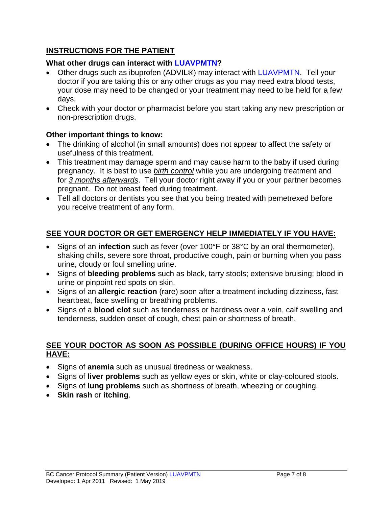### **INSTRUCTIONS FOR THE PATIENT**

### **What other drugs can interact with LUAVPMTN?**

- Other drugs such as ibuprofen (ADVIL®) may interact with LUAVPMTN. Tell your doctor if you are taking this or any other drugs as you may need extra blood tests, your dose may need to be changed or your treatment may need to be held for a few days.
- Check with your doctor or pharmacist before you start taking any new prescription or non-prescription drugs.

# **Other important things to know:**

- The drinking of alcohol (in small amounts) does not appear to affect the safety or usefulness of this treatment.
- This treatment may damage sperm and may cause harm to the baby if used during pregnancy. It is best to use *birth control* while you are undergoing treatment and for *3 months afterwards*. Tell your doctor right away if you or your partner becomes pregnant. Do not breast feed during treatment.
- Tell all doctors or dentists you see that you being treated with pemetrexed before you receive treatment of any form.

# **SEE YOUR DOCTOR OR GET EMERGENCY HELP IMMEDIATELY IF YOU HAVE:**

- Signs of an **infection** such as fever (over 100°F or 38°C by an oral thermometer), shaking chills, severe sore throat, productive cough, pain or burning when you pass urine, cloudy or foul smelling urine.
- Signs of **bleeding problems** such as black, tarry stools; extensive bruising; blood in urine or pinpoint red spots on skin.
- Signs of an **allergic reaction** (rare) soon after a treatment including dizziness, fast heartbeat, face swelling or breathing problems.
- Signs of a **blood clot** such as tenderness or hardness over a vein, calf swelling and tenderness, sudden onset of cough, chest pain or shortness of breath.

### **SEE YOUR DOCTOR AS SOON AS POSSIBLE (DURING OFFICE HOURS) IF YOU HAVE:**

- Signs of **anemia** such as unusual tiredness or weakness.
- Signs of **liver problems** such as yellow eyes or skin, white or clay-coloured stools.
- Signs of **lung problems** such as shortness of breath, wheezing or coughing.
- **Skin rash** or **itching**.